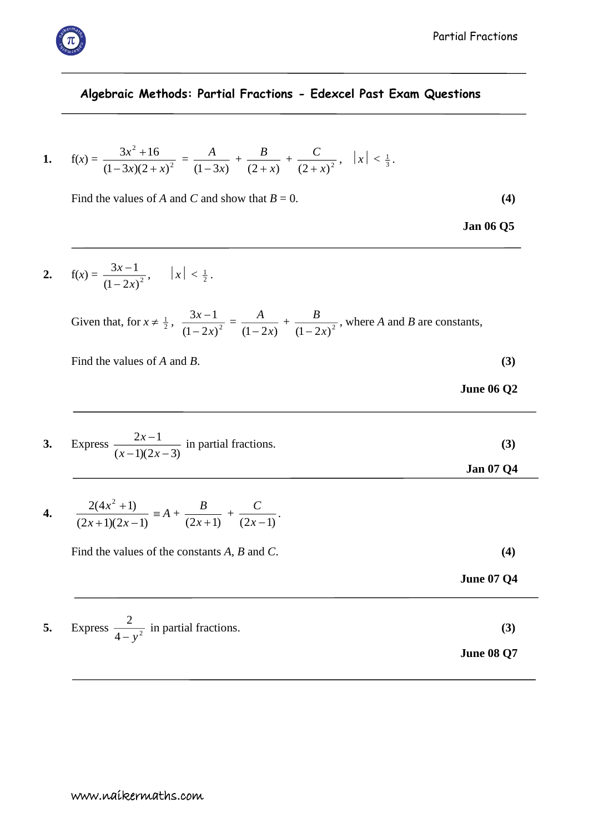## **Algebraic Methods: Partial Fractions - Edexcel Past Exam Questions**

1. 
$$
f(x) = \frac{3x^2 + 16}{(1 - 3x)(2 + x)^2} = \frac{A}{(1 - 3x)} + \frac{B}{(2 + x)} + \frac{C}{(2 + x)^2}, \quad |x| < \frac{1}{3}.
$$

Find the values of *A* and *C* and show that  $B = 0$ . (4)

**2.**  $f(x) = \frac{3x-1}{(1-2x)^2}$  $3x - 1$ *x x*  $\overline{a}$  $\frac{-1}{2}, \quad |x| < \frac{1}{2}.$ 

> Given that, for  $x \neq \frac{1}{2}$ ,  $\frac{3x-1}{(1-2x)^2}$  $3x - 1$ *x x* Ξ  $\frac{-1}{\sqrt{2}}$  =  $(1 - 2x)$ *A* Ξ +  $\frac{B}{(1-2x)^2}$ *B* Ξ , where *A* and *B* are constants,

Find the values of *A* and *B*. **(3)** 

| <b>June 06 Q2</b> |  |
|-------------------|--|
|                   |  |

| 3. Express $\frac{2x-1}{(x-1)(2x-3)}$ in partial fractions. |                  |
|-------------------------------------------------------------|------------------|
|                                                             | <b>Jan 07 Q4</b> |

4. 
$$
\frac{2(4x^2+1)}{(2x+1)(2x-1)} \equiv A + \frac{B}{(2x+1)} + \frac{C}{(2x-1)}.
$$

Find the values of the constants *A*, *B* and *C*. **(4)** 

**5.** Express  $\frac{2}{4-v^2}$ 2 *y* in partial fractions. **(3)**

**June 08 Q7**

**June 07 Q4**



**Jan 06 Q5**